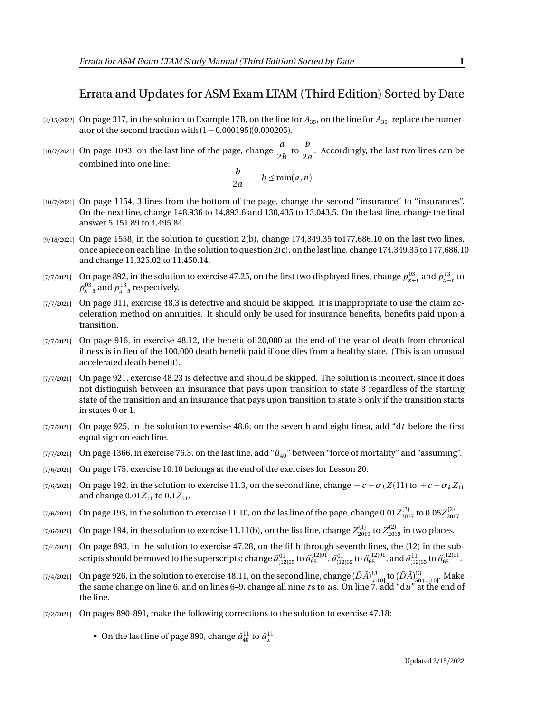## Errata and Updates for ASM Exam LTAM (Third Edition) Sorted by Date

- [2/15/2022] On page 317, in the solution to Example 17B, on the line for  $A_{35}$ , on the line for  $A_{35}$ , replace the numerator of the second fraction with  $(1 - 0.000195)(0.000205)$ .
- $\begin{bmatrix}10/7/2021\end{bmatrix}$  On page 1093, on the last line of the page, change  $\frac{a}{2}$  $\frac{a}{2b}$  to  $\frac{b}{2a}$  $\frac{1}{2a}$ . Accordingly, the last two lines can be combined into one line:

$$
\frac{b}{2a} \qquad b \le \min(a, n)
$$

- [10/7/2021] On page 1154, 3 lines from the bottom of the page, change the second "insurance" to "insurances". On the next line, change 148.936 to 14,893.6 and 130,435 to 13,043,5. On the last line, change the final answer 5,151.89 to 4,495.84.
- [9/18/2021] On page 1558, in the solution to question 2(b), change 174,349.35 to177,686.10 on the last two lines, once apiece on each line. In the solution to question 2(c), on the last line, change 174,349.35 to 177,686.10 and change 11,325.02 to 11,450.14.
- [7/7/2021] On page 892, in the solution to exercise 47.25, on the first two displayed lines, change  $p_{x+t}^{03}$  and  $p_{x+t}^{13}$  to  $p_{x+5}^{03}$  and  $p_{x+5}^{13}$  respectively.
- [7/7/2021] On page 911, exercise 48.3 is defective and should be skipped. It is inappropriate to use the claim acceleration method on annuities. It should only be used for insurance benefits, benefits paid upon a transition.
- [7/7/2021] On page 916, in exercise 48.12, the benefit of 20,000 at the end of the year of death from chronical illness is in lieu of the 100,000 death benefit paid if one dies from a healthy state. (This is an unusual accelerated death benefit).
- [7/7/2021] On page 921, exercise 48.23 is defective and should be skipped. The solution is incorrect, since it does not distinguish between an insurance that pays upon transition to state 3 regardless of the starting state of the transition and an insurance that pays upon transition to state 3 only if the transition starts in states 0 or 1.
- [7/7/2021] On page 925, in the solution to exercise 48.6, on the seventh and eight linea, add "d*t* before the first equal sign on each line.
- [7/7/2021] On page 1366, in exercise 76.3, on the last line, add " $\hat{\mu}_{40}$ " between "force of mortality" and "assuming".
- [7/6/2021] On page 175, exercise 10.10 belongs at the end of the exercises for Lesson 20.
- [7/6/2021] On page 192, in the solution to exercise 11.3, on the second line, change  $-c + \sigma_k Z(11)$  to  $+c + \sigma_k Z_{11}$ and change  $0.01Z_{11}$  to  $0.1Z_{11}$ .
- $_{[7/6/2021]}$  On page 193, in the solution to exercise 11.10, on the las line of the page, change  $0.01Z_{2017}^{(2)}$  to  $0.05Z_{2017}^{(2)}$ .
- $(7/6/2021]$  On page 194, in the solution to exercise 11.11(b), on the fist line, change  $Z_{2019}^{(1)}$  to  $Z_{2019}^{(2)}$  in two places.
- [7/4/2021] On page 893, in the solution to exercise 47.28, on the fifth through seventh lines, the (12) in the subscripts should be moved to the superscripts; change  $\ddot{a}_{[12]55}^{01}$  to  $\ddot{a}_{55}^{(12)01}$ ,  $\ddot{a}_{05}^{01}$  and  $\ddot{a}_{[12]65}^{11}$  to  $\ddot{a}_{65}^{(12)11}$ .
- $(7/4/2021]$  On page 926, in the solution to exercise 48.11, on the second line, change  $(D\bar{A})^{13}_{\underline{x};\overline{10}|}$  to  $(D\bar{A})^{13}_{50+t;\overline{10}|}$ . Make the same change on line 6, and on lines 6–9, change all nine *t* s to *u*s. On line 7, add "d*u*" at the end of the line.
- [7/2/2021] On pages 890-891, make the following corrections to the solution to exercise 47.18:

• On the last line of page 890, change  $\bar{a}_{40}^{11}$  to  $\bar{a}_x^{11}$ .